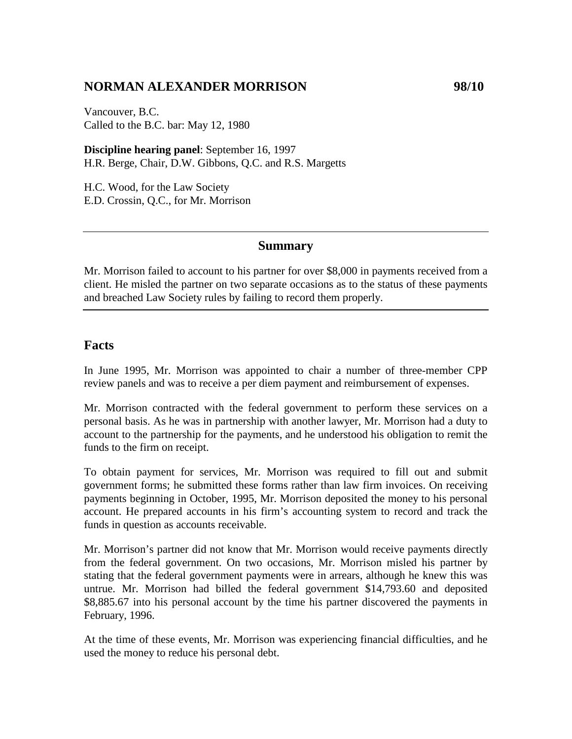# **NORMAN ALEXANDER MORRISON 98/10**

Vancouver, B.C. Called to the B.C. bar: May 12, 1980

**Discipline hearing panel**: September 16, 1997 H.R. Berge, Chair, D.W. Gibbons, Q.C. and R.S. Margetts

H.C. Wood, for the Law Society E.D. Crossin, Q.C., for Mr. Morrison

#### **Summary**

Mr. Morrison failed to account to his partner for over \$8,000 in payments received from a client. He misled the partner on two separate occasions as to the status of these payments and breached Law Society rules by failing to record them properly.

# **Facts**

In June 1995, Mr. Morrison was appointed to chair a number of three-member CPP review panels and was to receive a per diem payment and reimbursement of expenses.

Mr. Morrison contracted with the federal government to perform these services on a personal basis. As he was in partnership with another lawyer, Mr. Morrison had a duty to account to the partnership for the payments, and he understood his obligation to remit the funds to the firm on receipt.

To obtain payment for services, Mr. Morrison was required to fill out and submit government forms; he submitted these forms rather than law firm invoices. On receiving payments beginning in October, 1995, Mr. Morrison deposited the money to his personal account. He prepared accounts in his firm's accounting system to record and track the funds in question as accounts receivable.

Mr. Morrison's partner did not know that Mr. Morrison would receive payments directly from the federal government. On two occasions, Mr. Morrison misled his partner by stating that the federal government payments were in arrears, although he knew this was untrue. Mr. Morrison had billed the federal government \$14,793.60 and deposited \$8,885.67 into his personal account by the time his partner discovered the payments in February, 1996.

At the time of these events, Mr. Morrison was experiencing financial difficulties, and he used the money to reduce his personal debt.